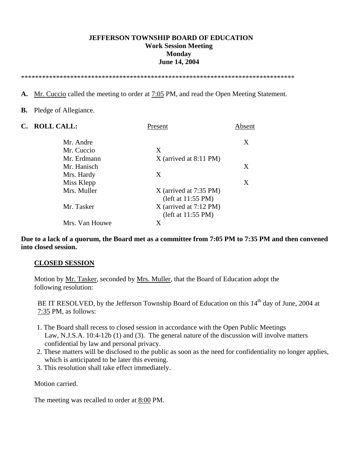#### **JEFFERSON TOWNSHIP BOARD OF EDUCATION Work Session Meeting Monday June 14, 2004**

\*\*\*\*\*\*\*\*\*\*\*\*\*\*\*\*\*\*\*\*\*\*\*\*\*\*\*\*\*\*\*\*\*\*\*\*\*\*\*\*\*\*\*\*\*\*\*\*\*\*\*\*\*\*\*\*\*\*\*\*\*\*\*\*\*\*\*\*\*\*\*\*\*\*\*\*\*\*

**A.** Mr. Cuccio called the meeting to order at 7:05 PM, and read the Open Meeting Statement.

#### **B.** Pledge of Allegiance.

| $\mathbf{C}$ . | <b>ROLL CALL:</b> | Present                  | Absent |
|----------------|-------------------|--------------------------|--------|
|                | Mr. Andre         |                          | X      |
|                | Mr. Cuccio        | X                        |        |
|                | Mr. Erdmann       | $X$ (arrived at 8:11 PM) |        |
|                | Mr. Hanisch       |                          | X      |
|                | Mrs. Hardy        | Χ                        |        |
|                | Miss Klepp        |                          | X      |
|                | Mrs. Muller       | $X$ (arrived at 7:35 PM) |        |
|                |                   | (left at 11:55 PM)       |        |
|                | Mr. Tasker        | $X$ (arrived at 7:12 PM) |        |
|                |                   | (left at 11:55 PM)       |        |
|                | Mrs. Van Houwe    | X                        |        |
|                |                   |                          |        |

**Due to a lack of a quorum, the Board met as a committee from 7:05 PM to 7:35 PM and then convened into closed session.** 

#### **CLOSED SESSION**

 Motion by Mr. Tasker, seconded by Mrs. Muller, that the Board of Education adopt the following resolution:

BE IT RESOLVED, by the Jefferson Township Board of Education on this 14<sup>th</sup> day of June, 2004 at 7:35 PM, as follows:

- 1. The Board shall recess to closed session in accordance with the Open Public Meetings Law, N.J.S.A. 10:4-12b (1) and (3). The general nature of the discussion will involve matters confidential by law and personal privacy.
- 2. These matters will be disclosed to the public as soon as the need for confidentiality no longer applies, which is anticipated to be later this evening.
- 3. This resolution shall take effect immediately.

Motion carried.

The meeting was recalled to order at 8:00 PM.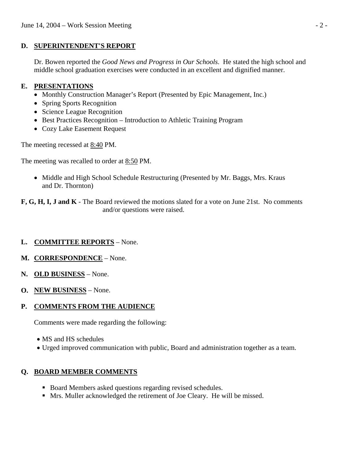## **D. SUPERINTENDENT'S REPORT**

 Dr. Bowen reported the *Good News and Progress in Our Schools*. He stated the high school and middle school graduation exercises were conducted in an excellent and dignified manner.

## **E. PRESENTATIONS**

- Monthly Construction Manager's Report (Presented by Epic Management, Inc.)
- Spring Sports Recognition
- Science League Recognition
- Best Practices Recognition Introduction to Athletic Training Program
- Cozy Lake Easement Request

The meeting recessed at 8:40 PM.

The meeting was recalled to order at 8:50 PM.

- Middle and High School Schedule Restructuring (Presented by Mr. Baggs, Mrs. Kraus and Dr. Thornton)
- **F, G, H, I, J and K**  The Board reviewed the motions slated for a vote on June 21st. No comments and/or questions were raised.

# **L. COMMITTEE REPORTS** – None.

- **M. CORRESPONDENCE** None.
- **N. OLD BUSINESS** None.
- **O. NEW BUSINESS** None.

## **P. COMMENTS FROM THE AUDIENCE**

Comments were made regarding the following:

- MS and HS schedules
- Urged improved communication with public, Board and administration together as a team.

## **Q. BOARD MEMBER COMMENTS**

- Board Members asked questions regarding revised schedules.
- Mrs. Muller acknowledged the retirement of Joe Cleary. He will be missed.